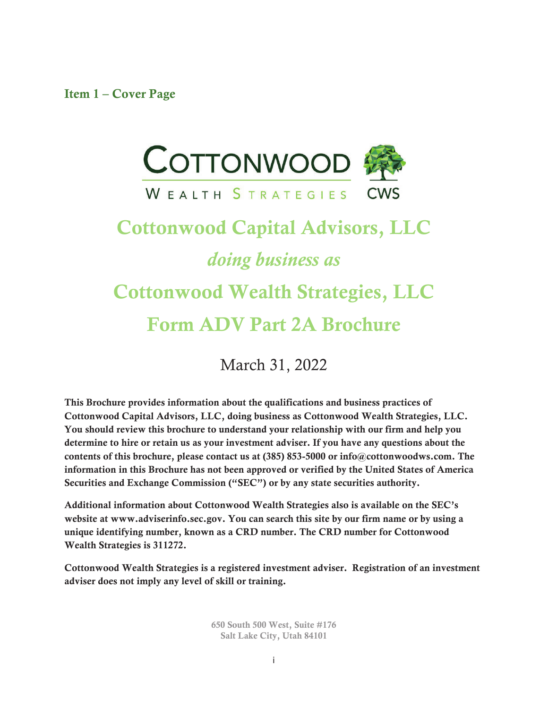Item 1 – Cover Page



# Cottonwood Capital Advisors, LLC *doing business as* Cottonwood Wealth Strategies, LLC Form ADV Part 2A Brochure

March 31, 2022

This Brochure provides information about the qualifications and business practices of Cottonwood Capital Advisors, LLC, doing business as Cottonwood Wealth Strategies, LLC. You should review this brochure to understand your relationship with our firm and help you determine to hire or retain us as your investment adviser. If you have any questions about the contents of this brochure, please contact us at (385) 853-5000 or info@cottonwoodws.com. The information in this Brochure has not been approved or verified by the United States of America Securities and Exchange Commission ("SEC") or by any state securities authority.

Additional information about Cottonwood Wealth Strategies also is available on the SEC's website at www.adviserinfo.sec.gov. You can search this site by our firm name or by using a unique identifying number, known as a CRD number. The CRD number for Cottonwood Wealth Strategies is 311272.

Cottonwood Wealth Strategies is a registered investment adviser. Registration of an investment adviser does not imply any level of skill or training.

> 650 South 500 West, Suite #176 Salt Lake City, Utah 84101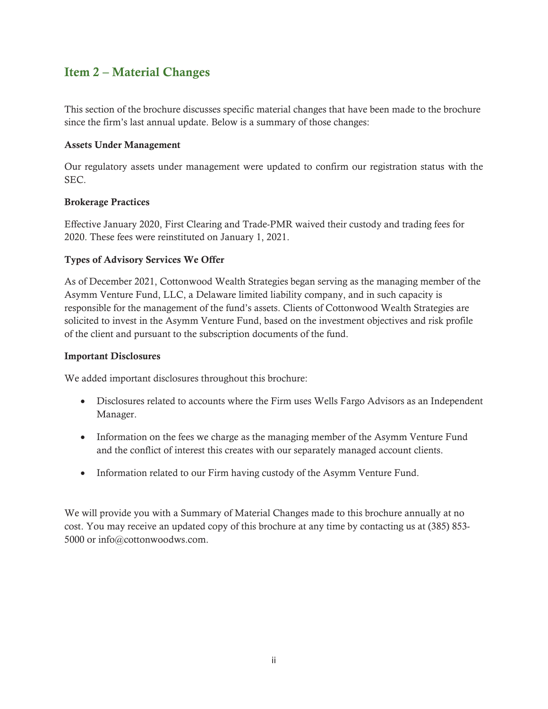## Item 2 – Material Changes

This section of the brochure discusses specific material changes that have been made to the brochure since the firm's last annual update. Below is a summary of those changes:

#### Assets Under Management

Our regulatory assets under management were updated to confirm our registration status with the SEC.

#### Brokerage Practices

Effective January 2020, First Clearing and Trade-PMR waived their custody and trading fees for 2020. These fees were reinstituted on January 1, 2021.

#### Types of Advisory Services We Offer

As of December 2021, Cottonwood Wealth Strategies began serving as the managing member of the Asymm Venture Fund, LLC, a Delaware limited liability company, and in such capacity is responsible for the management of the fund's assets. Clients of Cottonwood Wealth Strategies are solicited to invest in the Asymm Venture Fund, based on the investment objectives and risk profile of the client and pursuant to the subscription documents of the fund.

#### Important Disclosures

We added important disclosures throughout this brochure:

- Disclosures related to accounts where the Firm uses Wells Fargo Advisors as an Independent Manager.
- Information on the fees we charge as the managing member of the Asymm Venture Fund and the conflict of interest this creates with our separately managed account clients.
- Information related to our Firm having custody of the Asymm Venture Fund.

We will provide you with a Summary of Material Changes made to this brochure annually at no cost. You may receive an updated copy of this brochure at any time by contacting us at (385) 853- 5000 or info@cottonwoodws.com.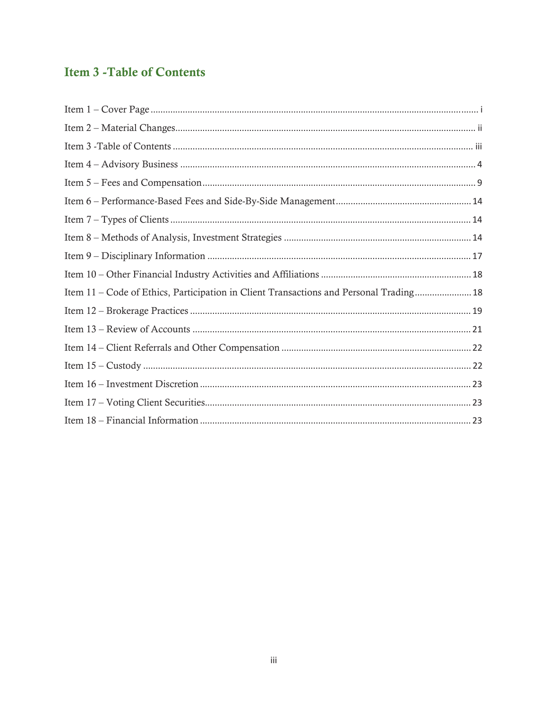## **Item 3 - Table of Contents**

| Item 11 - Code of Ethics, Participation in Client Transactions and Personal Trading 18 |
|----------------------------------------------------------------------------------------|
|                                                                                        |
|                                                                                        |
|                                                                                        |
|                                                                                        |
|                                                                                        |
|                                                                                        |
|                                                                                        |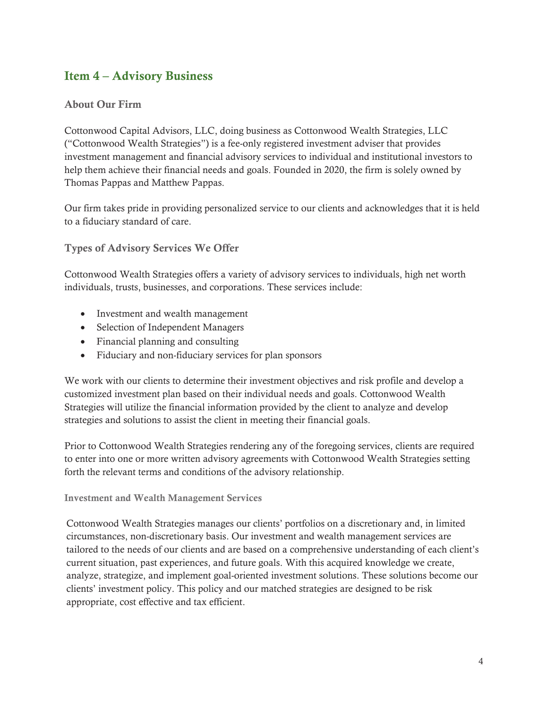## Item 4 – Advisory Business

#### About Our Firm

Cottonwood Capital Advisors, LLC, doing business as Cottonwood Wealth Strategies, LLC ("Cottonwood Wealth Strategies") is a fee-only registered investment adviser that provides investment management and financial advisory services to individual and institutional investors to help them achieve their financial needs and goals. Founded in 2020, the firm is solely owned by Thomas Pappas and Matthew Pappas.

Our firm takes pride in providing personalized service to our clients and acknowledges that it is held to a fiduciary standard of care.

Types of Advisory Services We Offer

Cottonwood Wealth Strategies offers a variety of advisory services to individuals, high net worth individuals, trusts, businesses, and corporations. These services include:

- Investment and wealth management
- Selection of Independent Managers
- $\bullet$  Financial planning and consulting
- Fiduciary and non-fiduciary services for plan sponsors

We work with our clients to determine their investment objectives and risk profile and develop a customized investment plan based on their individual needs and goals. Cottonwood Wealth Strategies will utilize the financial information provided by the client to analyze and develop strategies and solutions to assist the client in meeting their financial goals.

Prior to Cottonwood Wealth Strategies rendering any of the foregoing services, clients are required to enter into one or more written advisory agreements with Cottonwood Wealth Strategies setting forth the relevant terms and conditions of the advisory relationship.

#### Investment and Wealth Management Services

Cottonwood Wealth Strategies manages our clients' portfolios on a discretionary and, in limited circumstances, non-discretionary basis. Our investment and wealth management services are tailored to the needs of our clients and are based on a comprehensive understanding of each client's current situation, past experiences, and future goals. With this acquired knowledge we create, analyze, strategize, and implement goal-oriented investment solutions. These solutions become our clients' investment policy. This policy and our matched strategies are designed to be risk appropriate, cost effective and tax efficient.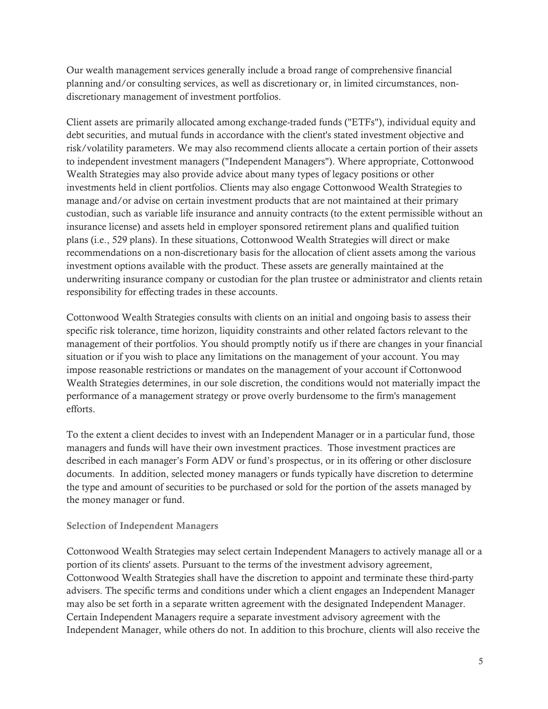Our wealth management services generally include a broad range of comprehensive financial planning and/or consulting services, as well as discretionary or, in limited circumstances, nondiscretionary management of investment portfolios.

Client assets are primarily allocated among exchange-traded funds ("ETFs"), individual equity and debt securities, and mutual funds in accordance with the client's stated investment objective and risk/volatility parameters. We may also recommend clients allocate a certain portion of their assets to independent investment managers ("Independent Managers"). Where appropriate, Cottonwood Wealth Strategies may also provide advice about many types of legacy positions or other investments held in client portfolios. Clients may also engage Cottonwood Wealth Strategies to manage and/or advise on certain investment products that are not maintained at their primary custodian, such as variable life insurance and annuity contracts (to the extent permissible without an insurance license) and assets held in employer sponsored retirement plans and qualified tuition plans (i.e., 529 plans). In these situations, Cottonwood Wealth Strategies will direct or make recommendations on a non-discretionary basis for the allocation of client assets among the various investment options available with the product. These assets are generally maintained at the underwriting insurance company or custodian for the plan trustee or administrator and clients retain responsibility for effecting trades in these accounts.

Cottonwood Wealth Strategies consults with clients on an initial and ongoing basis to assess their specific risk tolerance, time horizon, liquidity constraints and other related factors relevant to the management of their portfolios. You should promptly notify us if there are changes in your financial situation or if you wish to place any limitations on the management of your account. You may impose reasonable restrictions or mandates on the management of your account if Cottonwood Wealth Strategies determines, in our sole discretion, the conditions would not materially impact the performance of a management strategy or prove overly burdensome to the firm's management efforts.

To the extent a client decides to invest with an Independent Manager or in a particular fund, those managers and funds will have their own investment practices. Those investment practices are described in each manager's Form ADV or fund's prospectus, or in its offering or other disclosure documents. In addition, selected money managers or funds typically have discretion to determine the type and amount of securities to be purchased or sold for the portion of the assets managed by the money manager or fund.

#### Selection of Independent Managers

Cottonwood Wealth Strategies may select certain Independent Managers to actively manage all or a portion of its clients' assets. Pursuant to the terms of the investment advisory agreement, Cottonwood Wealth Strategies shall have the discretion to appoint and terminate these third-party advisers. The specific terms and conditions under which a client engages an Independent Manager may also be set forth in a separate written agreement with the designated Independent Manager. Certain Independent Managers require a separate investment advisory agreement with the Independent Manager, while others do not. In addition to this brochure, clients will also receive the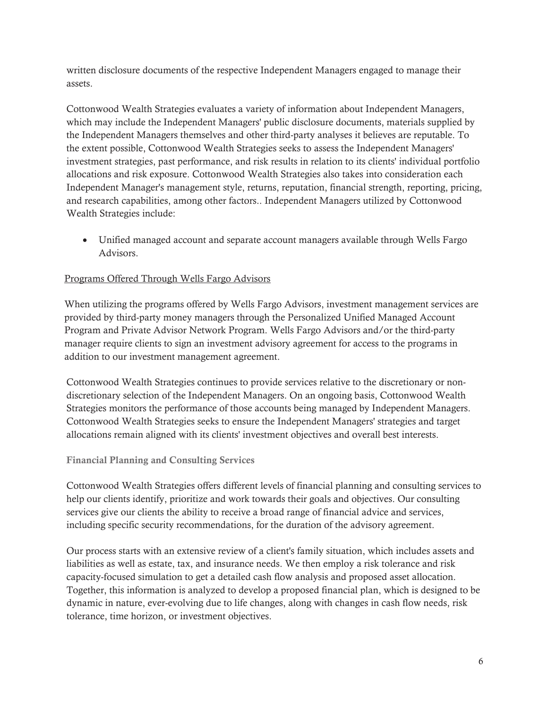written disclosure documents of the respective Independent Managers engaged to manage their assets.

Cottonwood Wealth Strategies evaluates a variety of information about Independent Managers, which may include the Independent Managers' public disclosure documents, materials supplied by the Independent Managers themselves and other third-party analyses it believes are reputable. To the extent possible, Cottonwood Wealth Strategies seeks to assess the Independent Managers' investment strategies, past performance, and risk results in relation to its clients' individual portfolio allocations and risk exposure. Cottonwood Wealth Strategies also takes into consideration each Independent Manager's management style, returns, reputation, financial strength, reporting, pricing, and research capabilities, among other factors.. Independent Managers utilized by Cottonwood Wealth Strategies include:

• Unified managed account and separate account managers available through Wells Fargo Advisors.

#### Programs Offered Through Wells Fargo Advisors

When utilizing the programs offered by Wells Fargo Advisors, investment management services are provided by third-party money managers through the Personalized Unified Managed Account Program and Private Advisor Network Program. Wells Fargo Advisors and/or the third-party manager require clients to sign an investment advisory agreement for access to the programs in addition to our investment management agreement.

Cottonwood Wealth Strategies continues to provide services relative to the discretionary or nondiscretionary selection of the Independent Managers. On an ongoing basis, Cottonwood Wealth Strategies monitors the performance of those accounts being managed by Independent Managers. Cottonwood Wealth Strategies seeks to ensure the Independent Managers' strategies and target allocations remain aligned with its clients' investment objectives and overall best interests.

#### Financial Planning and Consulting Services

Cottonwood Wealth Strategies offers different levels of financial planning and consulting services to help our clients identify, prioritize and work towards their goals and objectives. Our consulting services give our clients the ability to receive a broad range of financial advice and services, including specific security recommendations, for the duration of the advisory agreement.

Our process starts with an extensive review of a client's family situation, which includes assets and liabilities as well as estate, tax, and insurance needs. We then employ a risk tolerance and risk capacity-focused simulation to get a detailed cash flow analysis and proposed asset allocation. Together, this information is analyzed to develop a proposed financial plan, which is designed to be dynamic in nature, ever-evolving due to life changes, along with changes in cash flow needs, risk tolerance, time horizon, or investment objectives.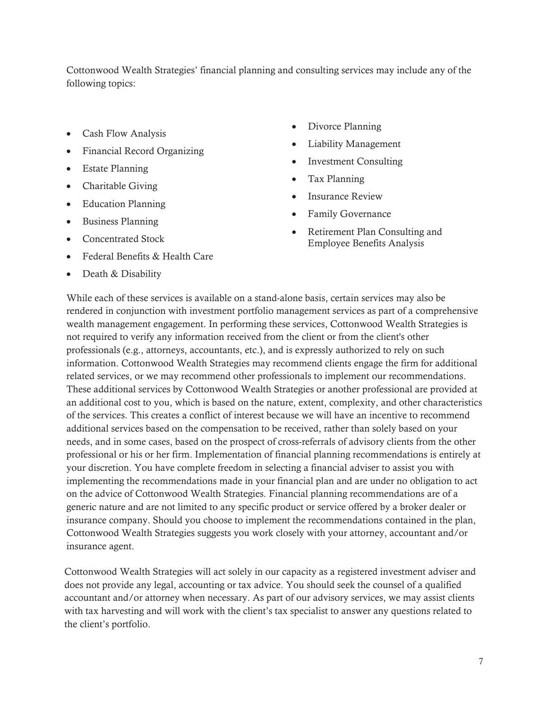Cottonwood Wealth Strategies' financial planning and consulting services may include any of the following topics:

- Cash Flow Analysis
- Financial Record Organizing
- $\bullet$  Estate Planning
- $\bullet$  Charitable Giving
- Education Planning
- Business Planning
- Concentrated Stock
- Federal Benefits & Health Care
- Death  $&$  Disability
- Divorce Planning
- Liability Management
- Investment Consulting
- Tax Planning
- Insurance Review
- Family Governance
- Retirement Plan Consulting and Employee Benefits Analysis

While each of these services is available on a stand-alone basis, certain services may also be rendered in conjunction with investment portfolio management services as part of a comprehensive wealth management engagement. In performing these services, Cottonwood Wealth Strategies is not required to verify any information received from the client or from the client's other professionals (e.g., attorneys, accountants, etc.), and is expressly authorized to rely on such information. Cottonwood Wealth Strategies may recommend clients engage the firm for additional related services, or we may recommend other professionals to implement our recommendations. These additional services by Cottonwood Wealth Strategies or another professional are provided at an additional cost to you, which is based on the nature, extent, complexity, and other characteristics of the services. This creates a conflict of interest because we will have an incentive to recommend additional services based on the compensation to be received, rather than solely based on your needs, and in some cases, based on the prospect of cross-referrals of advisory clients from the other professional or his or her firm. Implementation of financial planning recommendations is entirely at your discretion. You have complete freedom in selecting a financial adviser to assist you with implementing the recommendations made in your financial plan and are under no obligation to act on the advice of Cottonwood Wealth Strategies. Financial planning recommendations are of a generic nature and are not limited to any specific product or service offered by a broker dealer or insurance company. Should you choose to implement the recommendations contained in the plan, Cottonwood Wealth Strategies suggests you work closely with your attorney, accountant and/or insurance agent.

Cottonwood Wealth Strategies will act solely in our capacity as a registered investment adviser and does not provide any legal, accounting or tax advice. You should seek the counsel of a qualified accountant and/or attorney when necessary. As part of our advisory services, we may assist clients with tax harvesting and will work with the client's tax specialist to answer any questions related to the client's portfolio.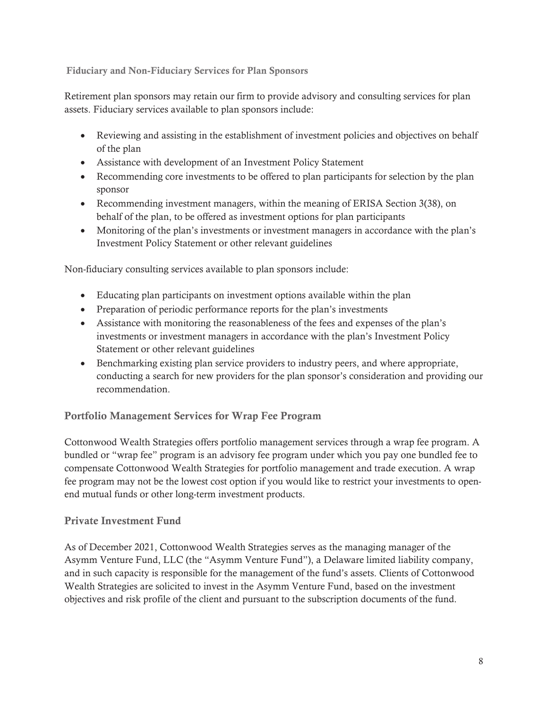Fiduciary and Non-Fiduciary Services for Plan Sponsors

Retirement plan sponsors may retain our firm to provide advisory and consulting services for plan assets. Fiduciary services available to plan sponsors include:

- Reviewing and assisting in the establishment of investment policies and objectives on behalf of the plan
- Assistance with development of an Investment Policy Statement
- Recommending core investments to be offered to plan participants for selection by the plan sponsor
- Recommending investment managers, within the meaning of ERISA Section 3(38), on behalf of the plan, to be offered as investment options for plan participants
- Monitoring of the plan's investments or investment managers in accordance with the plan's Investment Policy Statement or other relevant guidelines

Non-fiduciary consulting services available to plan sponsors include:

- Educating plan participants on investment options available within the plan
- Preparation of periodic performance reports for the plan's investments
- Assistance with monitoring the reasonableness of the fees and expenses of the plan's investments or investment managers in accordance with the plan's Investment Policy Statement or other relevant guidelines
- Benchmarking existing plan service providers to industry peers, and where appropriate, conducting a search for new providers for the plan sponsor's consideration and providing our recommendation.

#### Portfolio Management Services for Wrap Fee Program

Cottonwood Wealth Strategies offers portfolio management services through a wrap fee program. A bundled or "wrap fee" program is an advisory fee program under which you pay one bundled fee to compensate Cottonwood Wealth Strategies for portfolio management and trade execution. A wrap fee program may not be the lowest cost option if you would like to restrict your investments to openend mutual funds or other long-term investment products.

#### Private Investment Fund

As of December 2021, Cottonwood Wealth Strategies serves as the managing manager of the Asymm Venture Fund, LLC (the "Asymm Venture Fund"), a Delaware limited liability company, and in such capacity is responsible for the management of the fund's assets. Clients of Cottonwood Wealth Strategies are solicited to invest in the Asymm Venture Fund, based on the investment objectives and risk profile of the client and pursuant to the subscription documents of the fund.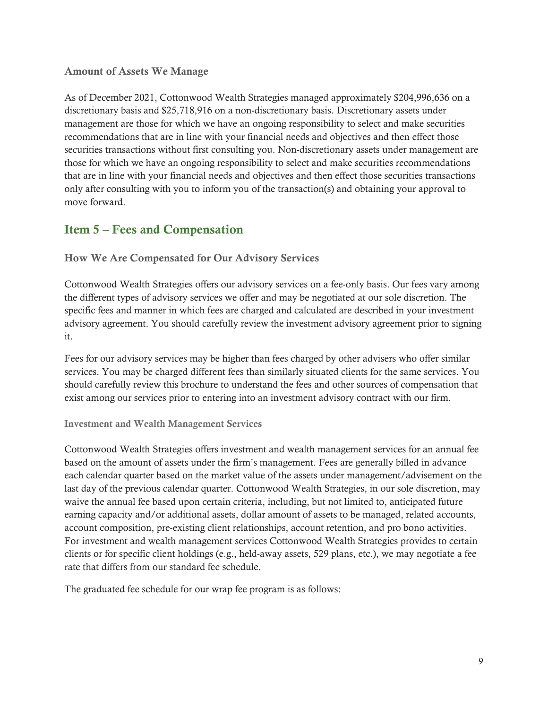#### Amount of Assets We Manage

As of December 2021, Cottonwood Wealth Strategies managed approximately \$204,996,636 on a discretionary basis and \$25,718,916 on a non-discretionary basis. Discretionary assets under management are those for which we have an ongoing responsibility to select and make securities recommendations that are in line with your financial needs and objectives and then effect those securities transactions without first consulting you. Non-discretionary assets under management are those for which we have an ongoing responsibility to select and make securities recommendations that are in line with your financial needs and objectives and then effect those securities transactions only after consulting with you to inform you of the transaction(s) and obtaining your approval to move forward.

## Item 5 – Fees and Compensation

How We Are Compensated for Our Advisory Services

Cottonwood Wealth Strategies offers our advisory services on a fee-only basis. Our fees vary among the different types of advisory services we offer and may be negotiated at our sole discretion. The specific fees and manner in which fees are charged and calculated are described in your investment advisory agreement. You should carefully review the investment advisory agreement prior to signing it.

Fees for our advisory services may be higher than fees charged by other advisers who offer similar services. You may be charged different fees than similarly situated clients for the same services. You should carefully review this brochure to understand the fees and other sources of compensation that exist among our services prior to entering into an investment advisory contract with our firm.

#### Investment and Wealth Management Services

Cottonwood Wealth Strategies offers investment and wealth management services for an annual fee based on the amount of assets under the firm's management. Fees are generally billed in advance each calendar quarter based on the market value of the assets under management/advisement on the last day of the previous calendar quarter. Cottonwood Wealth Strategies, in our sole discretion, may waive the annual fee based upon certain criteria, including, but not limited to, anticipated future earning capacity and/or additional assets, dollar amount of assets to be managed, related accounts, account composition, pre-existing client relationships, account retention, and pro bono activities. For investment and wealth management services Cottonwood Wealth Strategies provides to certain clients or for specific client holdings (e.g., held-away assets, 529 plans, etc.), we may negotiate a fee rate that differs from our standard fee schedule.

The graduated fee schedule for our wrap fee program is as follows: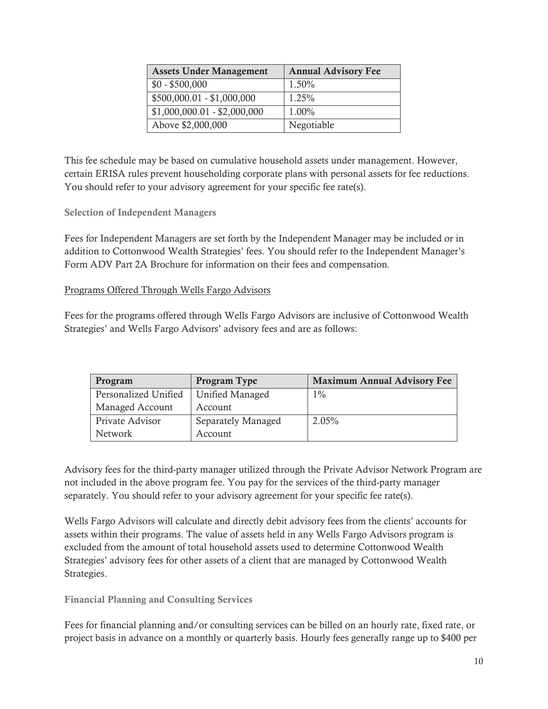| <b>Assets Under Management</b> | <b>Annual Advisory Fee</b> |
|--------------------------------|----------------------------|
| $$0 - $500,000$                | 1.50%                      |
| $$500,000.01 - $1,000,000$     | $1.25\%$                   |
| $$1,000,000.01 - $2,000,000$   | 1.00%                      |
| Above \$2,000,000              | Negotiable                 |

This fee schedule may be based on cumulative household assets under management. However, certain ERISA rules prevent householding corporate plans with personal assets for fee reductions. You should refer to your advisory agreement for your specific fee rate(s).

#### Selection of Independent Managers

Fees for Independent Managers are set forth by the Independent Manager may be included or in addition to Cottonwood Wealth Strategies' fees. You should refer to the Independent Manager's Form ADV Part 2A Brochure for information on their fees and compensation.

#### Programs Offered Through Wells Fargo Advisors

Fees for the programs offered through Wells Fargo Advisors are inclusive of Cottonwood Wealth Strategies' and Wells Fargo Advisors' advisory fees and are as follows:

| Program              | Program Type       | <b>Maximum Annual Advisory Fee</b> |
|----------------------|--------------------|------------------------------------|
| Personalized Unified | Unified Managed    | $1\%$                              |
| Managed Account      | Account            |                                    |
| Private Advisor      | Separately Managed | 2.05%                              |
| Network              | Account            |                                    |

Advisory fees for the third-party manager utilized through the Private Advisor Network Program are not included in the above program fee. You pay for the services of the third-party manager separately. You should refer to your advisory agreement for your specific fee rate(s).

Wells Fargo Advisors will calculate and directly debit advisory fees from the clients' accounts for assets within their programs. The value of assets held in any Wells Fargo Advisors program is excluded from the amount of total household assets used to determine Cottonwood Wealth Strategies' advisory fees for other assets of a client that are managed by Cottonwood Wealth Strategies.

Financial Planning and Consulting Services

Fees for financial planning and/or consulting services can be billed on an hourly rate, fixed rate, or project basis in advance on a monthly or quarterly basis. Hourly fees generally range up to \$400 per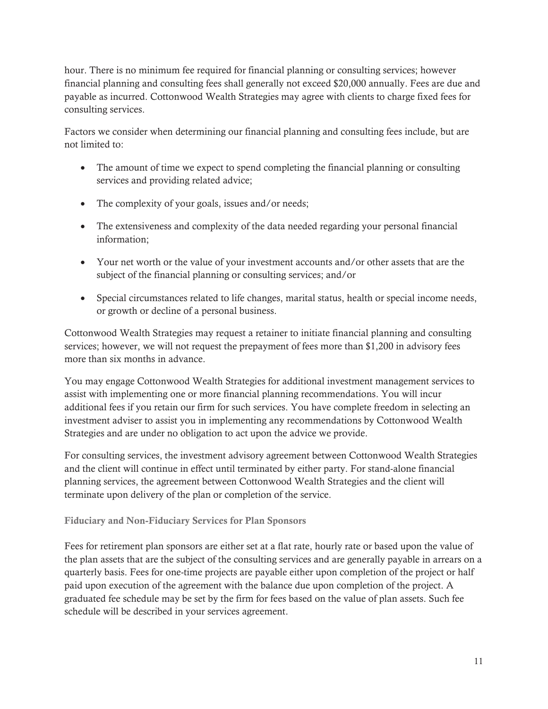hour. There is no minimum fee required for financial planning or consulting services; however financial planning and consulting fees shall generally not exceed \$20,000 annually. Fees are due and payable as incurred. Cottonwood Wealth Strategies may agree with clients to charge fixed fees for consulting services.

Factors we consider when determining our financial planning and consulting fees include, but are not limited to:

- The amount of time we expect to spend completing the financial planning or consulting services and providing related advice;
- The complexity of your goals, issues and/or needs;
- The extensiveness and complexity of the data needed regarding your personal financial information;
- Your net worth or the value of your investment accounts and/or other assets that are the subject of the financial planning or consulting services; and/or
- Special circumstances related to life changes, marital status, health or special income needs, or growth or decline of a personal business.

Cottonwood Wealth Strategies may request a retainer to initiate financial planning and consulting services; however, we will not request the prepayment of fees more than \$1,200 in advisory fees more than six months in advance.

You may engage Cottonwood Wealth Strategies for additional investment management services to assist with implementing one or more financial planning recommendations. You will incur additional fees if you retain our firm for such services. You have complete freedom in selecting an investment adviser to assist you in implementing any recommendations by Cottonwood Wealth Strategies and are under no obligation to act upon the advice we provide.

For consulting services, the investment advisory agreement between Cottonwood Wealth Strategies and the client will continue in effect until terminated by either party. For stand-alone financial planning services, the agreement between Cottonwood Wealth Strategies and the client will terminate upon delivery of the plan or completion of the service.

#### Fiduciary and Non-Fiduciary Services for Plan Sponsors

Fees for retirement plan sponsors are either set at a flat rate, hourly rate or based upon the value of the plan assets that are the subject of the consulting services and are generally payable in arrears on a quarterly basis. Fees for one-time projects are payable either upon completion of the project or half paid upon execution of the agreement with the balance due upon completion of the project. A graduated fee schedule may be set by the firm for fees based on the value of plan assets. Such fee schedule will be described in your services agreement.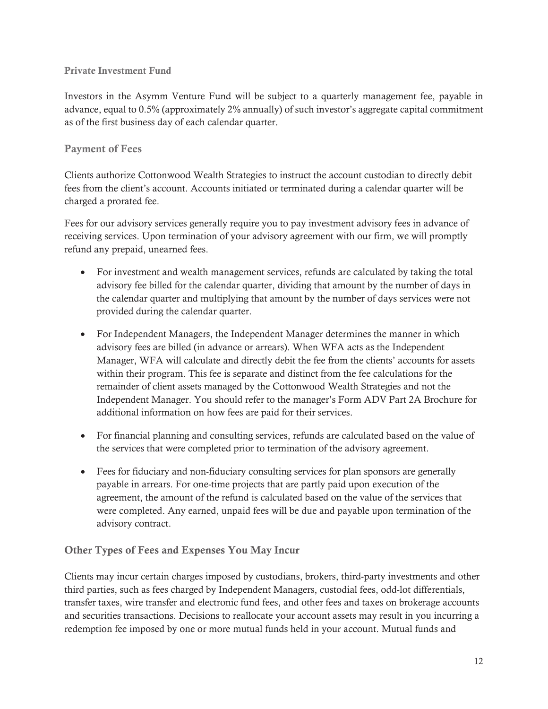#### Private Investment Fund

Investors in the Asymm Venture Fund will be subject to a quarterly management fee, payable in advance, equal to 0.5% (approximately 2% annually) of such investor's aggregate capital commitment as of the first business day of each calendar quarter.

#### Payment of Fees

Clients authorize Cottonwood Wealth Strategies to instruct the account custodian to directly debit fees from the client's account. Accounts initiated or terminated during a calendar quarter will be charged a prorated fee.

Fees for our advisory services generally require you to pay investment advisory fees in advance of receiving services. Upon termination of your advisory agreement with our firm, we will promptly refund any prepaid, unearned fees.

- For investment and wealth management services, refunds are calculated by taking the total advisory fee billed for the calendar quarter, dividing that amount by the number of days in the calendar quarter and multiplying that amount by the number of days services were not provided during the calendar quarter.
- For Independent Managers, the Independent Manager determines the manner in which advisory fees are billed (in advance or arrears). When WFA acts as the Independent Manager, WFA will calculate and directly debit the fee from the clients' accounts for assets within their program. This fee is separate and distinct from the fee calculations for the remainder of client assets managed by the Cottonwood Wealth Strategies and not the Independent Manager. You should refer to the manager's Form ADV Part 2A Brochure for additional information on how fees are paid for their services.
- For financial planning and consulting services, refunds are calculated based on the value of the services that were completed prior to termination of the advisory agreement.
- Fees for fiduciary and non-fiduciary consulting services for plan sponsors are generally payable in arrears. For one-time projects that are partly paid upon execution of the agreement, the amount of the refund is calculated based on the value of the services that were completed. Any earned, unpaid fees will be due and payable upon termination of the advisory contract.

#### Other Types of Fees and Expenses You May Incur

Clients may incur certain charges imposed by custodians, brokers, third-party investments and other third parties, such as fees charged by Independent Managers, custodial fees, odd-lot differentials, transfer taxes, wire transfer and electronic fund fees, and other fees and taxes on brokerage accounts and securities transactions. Decisions to reallocate your account assets may result in you incurring a redemption fee imposed by one or more mutual funds held in your account. Mutual funds and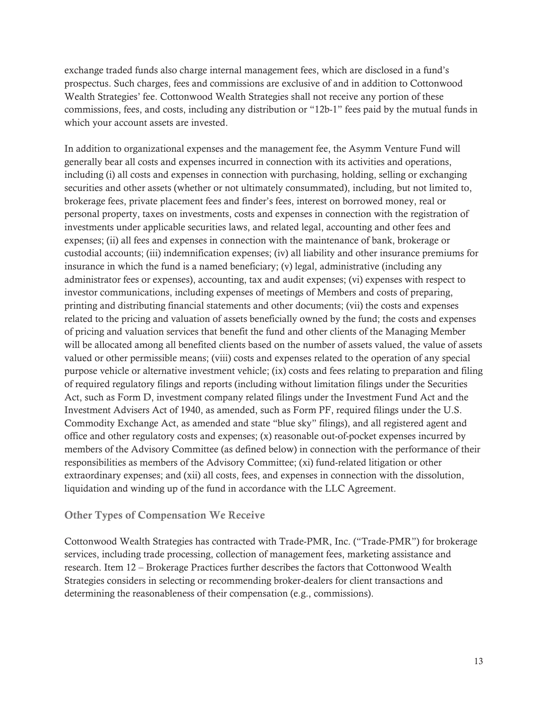exchange traded funds also charge internal management fees, which are disclosed in a fund's prospectus. Such charges, fees and commissions are exclusive of and in addition to Cottonwood Wealth Strategies' fee. Cottonwood Wealth Strategies shall not receive any portion of these commissions, fees, and costs, including any distribution or "12b-1" fees paid by the mutual funds in which your account assets are invested.

In addition to organizational expenses and the management fee, the Asymm Venture Fund will generally bear all costs and expenses incurred in connection with its activities and operations, including (i) all costs and expenses in connection with purchasing, holding, selling or exchanging securities and other assets (whether or not ultimately consummated), including, but not limited to, brokerage fees, private placement fees and finder's fees, interest on borrowed money, real or personal property, taxes on investments, costs and expenses in connection with the registration of investments under applicable securities laws, and related legal, accounting and other fees and expenses; (ii) all fees and expenses in connection with the maintenance of bank, brokerage or custodial accounts; (iii) indemnification expenses; (iv) all liability and other insurance premiums for insurance in which the fund is a named beneficiary; (v) legal, administrative (including any administrator fees or expenses), accounting, tax and audit expenses; (vi) expenses with respect to investor communications, including expenses of meetings of Members and costs of preparing, printing and distributing financial statements and other documents; (vii) the costs and expenses related to the pricing and valuation of assets beneficially owned by the fund; the costs and expenses of pricing and valuation services that benefit the fund and other clients of the Managing Member will be allocated among all benefited clients based on the number of assets valued, the value of assets valued or other permissible means; (viii) costs and expenses related to the operation of any special purpose vehicle or alternative investment vehicle; (ix) costs and fees relating to preparation and filing of required regulatory filings and reports (including without limitation filings under the Securities Act, such as Form D, investment company related filings under the Investment Fund Act and the Investment Advisers Act of 1940, as amended, such as Form PF, required filings under the U.S. Commodity Exchange Act, as amended and state "blue sky" filings), and all registered agent and office and other regulatory costs and expenses; (x) reasonable out-of-pocket expenses incurred by members of the Advisory Committee (as defined below) in connection with the performance of their responsibilities as members of the Advisory Committee; (xi) fund-related litigation or other extraordinary expenses; and (xii) all costs, fees, and expenses in connection with the dissolution, liquidation and winding up of the fund in accordance with the LLC Agreement.

#### Other Types of Compensation We Receive

Cottonwood Wealth Strategies has contracted with Trade-PMR, Inc. ("Trade-PMR") for brokerage services, including trade processing, collection of management fees, marketing assistance and research. Item 12 – Brokerage Practices further describes the factors that Cottonwood Wealth Strategies considers in selecting or recommending broker-dealers for client transactions and determining the reasonableness of their compensation (e.g., commissions).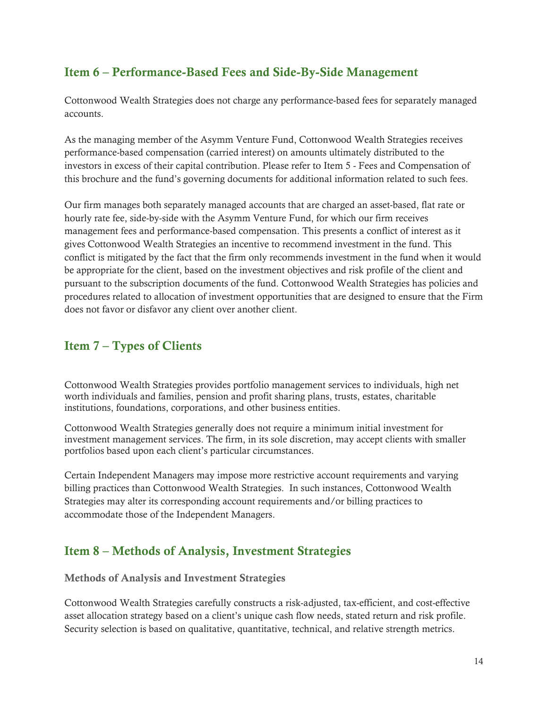## Item 6 – Performance-Based Fees and Side-By-Side Management

Cottonwood Wealth Strategies does not charge any performance-based fees for separately managed accounts.

As the managing member of the Asymm Venture Fund, Cottonwood Wealth Strategies receives performance-based compensation (carried interest) on amounts ultimately distributed to the investors in excess of their capital contribution. Please refer to Item 5 - Fees and Compensation of this brochure and the fund's governing documents for additional information related to such fees.

Our firm manages both separately managed accounts that are charged an asset-based, flat rate or hourly rate fee, side-by-side with the Asymm Venture Fund, for which our firm receives management fees and performance-based compensation. This presents a conflict of interest as it gives Cottonwood Wealth Strategies an incentive to recommend investment in the fund. This conflict is mitigated by the fact that the firm only recommends investment in the fund when it would be appropriate for the client, based on the investment objectives and risk profile of the client and pursuant to the subscription documents of the fund. Cottonwood Wealth Strategies has policies and procedures related to allocation of investment opportunities that are designed to ensure that the Firm does not favor or disfavor any client over another client.

## Item 7 – Types of Clients

Cottonwood Wealth Strategies provides portfolio management services to individuals, high net worth individuals and families, pension and profit sharing plans, trusts, estates, charitable institutions, foundations, corporations, and other business entities.

Cottonwood Wealth Strategies generally does not require a minimum initial investment for investment management services. The firm, in its sole discretion, may accept clients with smaller portfolios based upon each client's particular circumstances.

Certain Independent Managers may impose more restrictive account requirements and varying billing practices than Cottonwood Wealth Strategies. In such instances, Cottonwood Wealth Strategies may alter its corresponding account requirements and/or billing practices to accommodate those of the Independent Managers.

## Item 8 – Methods of Analysis, Investment Strategies

Methods of Analysis and Investment Strategies

Cottonwood Wealth Strategies carefully constructs a risk-adjusted, tax-efficient, and cost-effective asset allocation strategy based on a client's unique cash flow needs, stated return and risk profile. Security selection is based on qualitative, quantitative, technical, and relative strength metrics.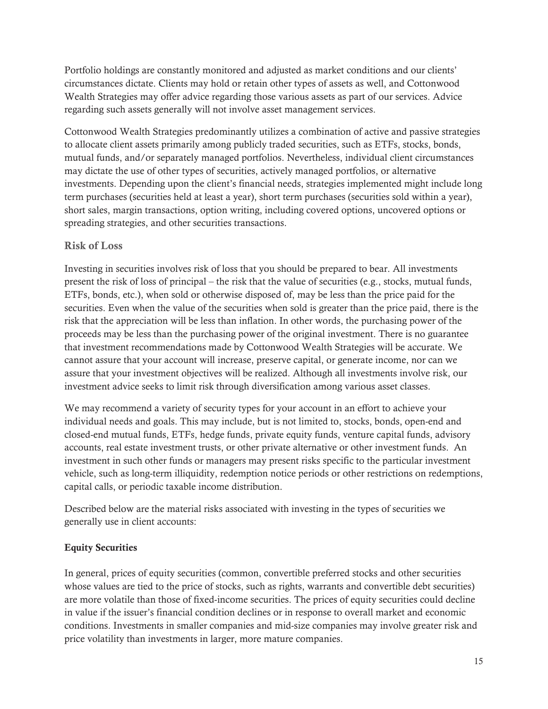Portfolio holdings are constantly monitored and adjusted as market conditions and our clients' circumstances dictate. Clients may hold or retain other types of assets as well, and Cottonwood Wealth Strategies may offer advice regarding those various assets as part of our services. Advice regarding such assets generally will not involve asset management services.

Cottonwood Wealth Strategies predominantly utilizes a combination of active and passive strategies to allocate client assets primarily among publicly traded securities, such as ETFs, stocks, bonds, mutual funds, and/or separately managed portfolios. Nevertheless, individual client circumstances may dictate the use of other types of securities, actively managed portfolios, or alternative investments. Depending upon the client's financial needs, strategies implemented might include long term purchases (securities held at least a year), short term purchases (securities sold within a year), short sales, margin transactions, option writing, including covered options, uncovered options or spreading strategies, and other securities transactions.

#### Risk of Loss

Investing in securities involves risk of loss that you should be prepared to bear. All investments present the risk of loss of principal – the risk that the value of securities (e.g., stocks, mutual funds, ETFs, bonds, etc.), when sold or otherwise disposed of, may be less than the price paid for the securities. Even when the value of the securities when sold is greater than the price paid, there is the risk that the appreciation will be less than inflation. In other words, the purchasing power of the proceeds may be less than the purchasing power of the original investment. There is no guarantee that investment recommendations made by Cottonwood Wealth Strategies will be accurate. We cannot assure that your account will increase, preserve capital, or generate income, nor can we assure that your investment objectives will be realized. Although all investments involve risk, our investment advice seeks to limit risk through diversification among various asset classes.

We may recommend a variety of security types for your account in an effort to achieve your individual needs and goals. This may include, but is not limited to, stocks, bonds, open-end and closed-end mutual funds, ETFs, hedge funds, private equity funds, venture capital funds, advisory accounts, real estate investment trusts, or other private alternative or other investment funds. An investment in such other funds or managers may present risks specific to the particular investment vehicle, such as long-term illiquidity, redemption notice periods or other restrictions on redemptions, capital calls, or periodic taxable income distribution.

Described below are the material risks associated with investing in the types of securities we generally use in client accounts:

#### Equity Securities

In general, prices of equity securities (common, convertible preferred stocks and other securities whose values are tied to the price of stocks, such as rights, warrants and convertible debt securities) are more volatile than those of fixed-income securities. The prices of equity securities could decline in value if the issuer's financial condition declines or in response to overall market and economic conditions. Investments in smaller companies and mid-size companies may involve greater risk and price volatility than investments in larger, more mature companies.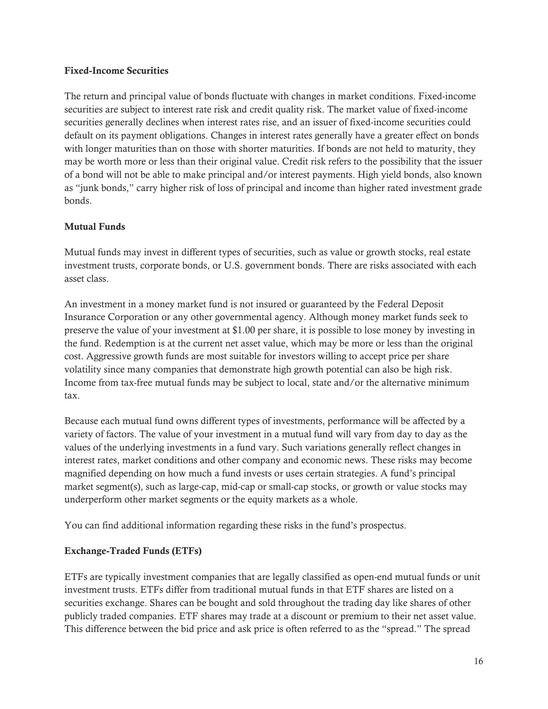#### Fixed-Income Securities

The return and principal value of bonds fluctuate with changes in market conditions. Fixed-income securities are subject to interest rate risk and credit quality risk. The market value of fixed-income securities generally declines when interest rates rise, and an issuer of fixed-income securities could default on its payment obligations. Changes in interest rates generally have a greater effect on bonds with longer maturities than on those with shorter maturities. If bonds are not held to maturity, they may be worth more or less than their original value. Credit risk refers to the possibility that the issuer of a bond will not be able to make principal and/or interest payments. High yield bonds, also known as "junk bonds," carry higher risk of loss of principal and income than higher rated investment grade bonds.

#### Mutual Funds

Mutual funds may invest in different types of securities, such as value or growth stocks, real estate investment trusts, corporate bonds, or U.S. government bonds. There are risks associated with each asset class.

An investment in a money market fund is not insured or guaranteed by the Federal Deposit Insurance Corporation or any other governmental agency. Although money market funds seek to preserve the value of your investment at \$1.00 per share, it is possible to lose money by investing in the fund. Redemption is at the current net asset value, which may be more or less than the original cost. Aggressive growth funds are most suitable for investors willing to accept price per share volatility since many companies that demonstrate high growth potential can also be high risk. Income from tax-free mutual funds may be subject to local, state and/or the alternative minimum tax.

Because each mutual fund owns different types of investments, performance will be affected by a variety of factors. The value of your investment in a mutual fund will vary from day to day as the values of the underlying investments in a fund vary. Such variations generally reflect changes in interest rates, market conditions and other company and economic news. These risks may become magnified depending on how much a fund invests or uses certain strategies. A fund's principal market segment(s), such as large-cap, mid-cap or small-cap stocks, or growth or value stocks may underperform other market segments or the equity markets as a whole.

You can find additional information regarding these risks in the fund's prospectus.

#### Exchange-Traded Funds (ETFs)

ETFs are typically investment companies that are legally classified as open-end mutual funds or unit investment trusts. ETFs differ from traditional mutual funds in that ETF shares are listed on a securities exchange. Shares can be bought and sold throughout the trading day like shares of other publicly traded companies. ETF shares may trade at a discount or premium to their net asset value. This difference between the bid price and ask price is often referred to as the "spread." The spread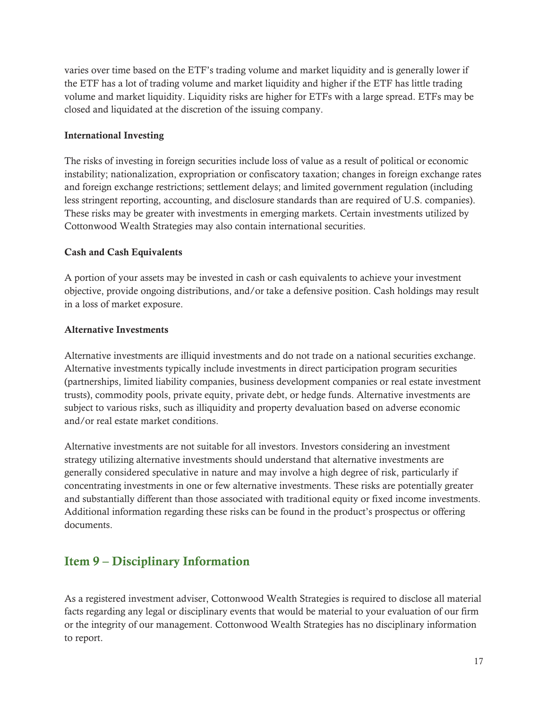varies over time based on the ETF's trading volume and market liquidity and is generally lower if the ETF has a lot of trading volume and market liquidity and higher if the ETF has little trading volume and market liquidity. Liquidity risks are higher for ETFs with a large spread. ETFs may be closed and liquidated at the discretion of the issuing company.

#### International Investing

The risks of investing in foreign securities include loss of value as a result of political or economic instability; nationalization, expropriation or confiscatory taxation; changes in foreign exchange rates and foreign exchange restrictions; settlement delays; and limited government regulation (including less stringent reporting, accounting, and disclosure standards than are required of U.S. companies). These risks may be greater with investments in emerging markets. Certain investments utilized by Cottonwood Wealth Strategies may also contain international securities.

#### Cash and Cash Equivalents

A portion of your assets may be invested in cash or cash equivalents to achieve your investment objective, provide ongoing distributions, and/or take a defensive position. Cash holdings may result in a loss of market exposure.

#### Alternative Investments

Alternative investments are illiquid investments and do not trade on a national securities exchange. Alternative investments typically include investments in direct participation program securities (partnerships, limited liability companies, business development companies or real estate investment trusts), commodity pools, private equity, private debt, or hedge funds. Alternative investments are subject to various risks, such as illiquidity and property devaluation based on adverse economic and/or real estate market conditions.

Alternative investments are not suitable for all investors. Investors considering an investment strategy utilizing alternative investments should understand that alternative investments are generally considered speculative in nature and may involve a high degree of risk, particularly if concentrating investments in one or few alternative investments. These risks are potentially greater and substantially different than those associated with traditional equity or fixed income investments. Additional information regarding these risks can be found in the product's prospectus or offering documents.

## Item 9 – Disciplinary Information

As a registered investment adviser, Cottonwood Wealth Strategies is required to disclose all material facts regarding any legal or disciplinary events that would be material to your evaluation of our firm or the integrity of our management. Cottonwood Wealth Strategies has no disciplinary information to report.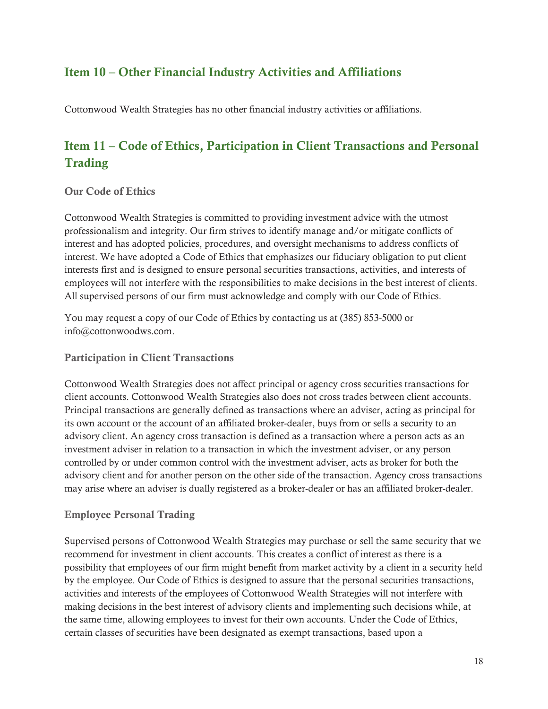## Item 10 – Other Financial Industry Activities and Affiliations

Cottonwood Wealth Strategies has no other financial industry activities or affiliations.

## Item 11 – Code of Ethics, Participation in Client Transactions and Personal **Trading**

#### Our Code of Ethics

Cottonwood Wealth Strategies is committed to providing investment advice with the utmost professionalism and integrity. Our firm strives to identify manage and/or mitigate conflicts of interest and has adopted policies, procedures, and oversight mechanisms to address conflicts of interest. We have adopted a Code of Ethics that emphasizes our fiduciary obligation to put client interests first and is designed to ensure personal securities transactions, activities, and interests of employees will not interfere with the responsibilities to make decisions in the best interest of clients. All supervised persons of our firm must acknowledge and comply with our Code of Ethics.

You may request a copy of our Code of Ethics by contacting us at (385) 853-5000 or info@cottonwoodws.com.

#### Participation in Client Transactions

Cottonwood Wealth Strategies does not affect principal or agency cross securities transactions for client accounts. Cottonwood Wealth Strategies also does not cross trades between client accounts. Principal transactions are generally defined as transactions where an adviser, acting as principal for its own account or the account of an affiliated broker-dealer, buys from or sells a security to an advisory client. An agency cross transaction is defined as a transaction where a person acts as an investment adviser in relation to a transaction in which the investment adviser, or any person controlled by or under common control with the investment adviser, acts as broker for both the advisory client and for another person on the other side of the transaction. Agency cross transactions may arise where an adviser is dually registered as a broker-dealer or has an affiliated broker-dealer.

#### Employee Personal Trading

Supervised persons of Cottonwood Wealth Strategies may purchase or sell the same security that we recommend for investment in client accounts. This creates a conflict of interest as there is a possibility that employees of our firm might benefit from market activity by a client in a security held by the employee. Our Code of Ethics is designed to assure that the personal securities transactions, activities and interests of the employees of Cottonwood Wealth Strategies will not interfere with making decisions in the best interest of advisory clients and implementing such decisions while, at the same time, allowing employees to invest for their own accounts. Under the Code of Ethics, certain classes of securities have been designated as exempt transactions, based upon a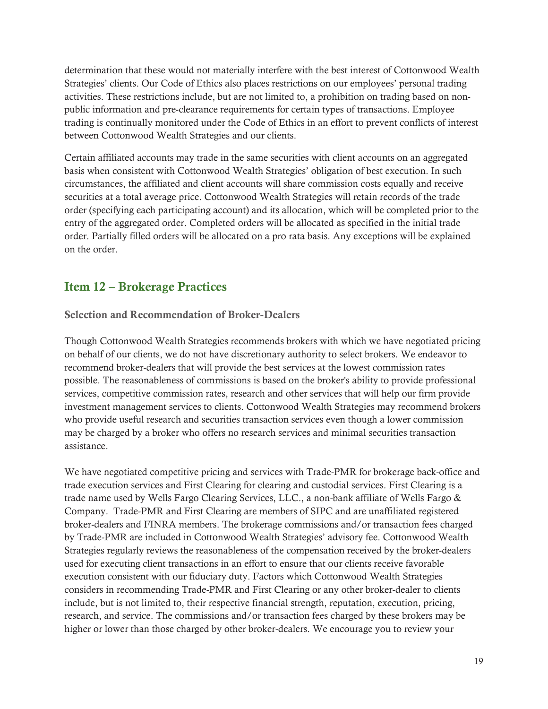determination that these would not materially interfere with the best interest of Cottonwood Wealth Strategies' clients. Our Code of Ethics also places restrictions on our employees' personal trading activities. These restrictions include, but are not limited to, a prohibition on trading based on nonpublic information and pre-clearance requirements for certain types of transactions. Employee trading is continually monitored under the Code of Ethics in an effort to prevent conflicts of interest between Cottonwood Wealth Strategies and our clients.

Certain affiliated accounts may trade in the same securities with client accounts on an aggregated basis when consistent with Cottonwood Wealth Strategies' obligation of best execution. In such circumstances, the affiliated and client accounts will share commission costs equally and receive securities at a total average price. Cottonwood Wealth Strategies will retain records of the trade order (specifying each participating account) and its allocation, which will be completed prior to the entry of the aggregated order. Completed orders will be allocated as specified in the initial trade order. Partially filled orders will be allocated on a pro rata basis. Any exceptions will be explained on the order.

## Item 12 – Brokerage Practices

Selection and Recommendation of Broker-Dealers

Though Cottonwood Wealth Strategies recommends brokers with which we have negotiated pricing on behalf of our clients, we do not have discretionary authority to select brokers. We endeavor to recommend broker-dealers that will provide the best services at the lowest commission rates possible. The reasonableness of commissions is based on the broker's ability to provide professional services, competitive commission rates, research and other services that will help our firm provide investment management services to clients. Cottonwood Wealth Strategies may recommend brokers who provide useful research and securities transaction services even though a lower commission may be charged by a broker who offers no research services and minimal securities transaction assistance.

We have negotiated competitive pricing and services with Trade-PMR for brokerage back-office and trade execution services and First Clearing for clearing and custodial services. First Clearing is a trade name used by Wells Fargo Clearing Services, LLC., a non-bank affiliate of Wells Fargo & Company. Trade-PMR and First Clearing are members of SIPC and are unaffiliated registered broker-dealers and FINRA members. The brokerage commissions and/or transaction fees charged by Trade-PMR are included in Cottonwood Wealth Strategies' advisory fee. Cottonwood Wealth Strategies regularly reviews the reasonableness of the compensation received by the broker-dealers used for executing client transactions in an effort to ensure that our clients receive favorable execution consistent with our fiduciary duty. Factors which Cottonwood Wealth Strategies considers in recommending Trade-PMR and First Clearing or any other broker-dealer to clients include, but is not limited to, their respective financial strength, reputation, execution, pricing, research, and service. The commissions and/or transaction fees charged by these brokers may be higher or lower than those charged by other broker-dealers. We encourage you to review your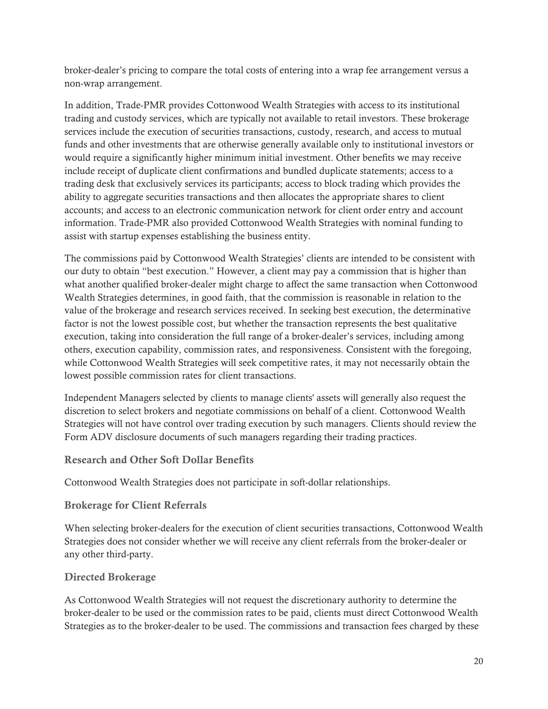broker-dealer's pricing to compare the total costs of entering into a wrap fee arrangement versus a non-wrap arrangement.

In addition, Trade-PMR provides Cottonwood Wealth Strategies with access to its institutional trading and custody services, which are typically not available to retail investors. These brokerage services include the execution of securities transactions, custody, research, and access to mutual funds and other investments that are otherwise generally available only to institutional investors or would require a significantly higher minimum initial investment. Other benefits we may receive include receipt of duplicate client confirmations and bundled duplicate statements; access to a trading desk that exclusively services its participants; access to block trading which provides the ability to aggregate securities transactions and then allocates the appropriate shares to client accounts; and access to an electronic communication network for client order entry and account information. Trade-PMR also provided Cottonwood Wealth Strategies with nominal funding to assist with startup expenses establishing the business entity.

The commissions paid by Cottonwood Wealth Strategies' clients are intended to be consistent with our duty to obtain "best execution." However, a client may pay a commission that is higher than what another qualified broker-dealer might charge to affect the same transaction when Cottonwood Wealth Strategies determines, in good faith, that the commission is reasonable in relation to the value of the brokerage and research services received. In seeking best execution, the determinative factor is not the lowest possible cost, but whether the transaction represents the best qualitative execution, taking into consideration the full range of a broker-dealer's services, including among others, execution capability, commission rates, and responsiveness. Consistent with the foregoing, while Cottonwood Wealth Strategies will seek competitive rates, it may not necessarily obtain the lowest possible commission rates for client transactions.

Independent Managers selected by clients to manage clients' assets will generally also request the discretion to select brokers and negotiate commissions on behalf of a client. Cottonwood Wealth Strategies will not have control over trading execution by such managers. Clients should review the Form ADV disclosure documents of such managers regarding their trading practices.

#### Research and Other Soft Dollar Benefits

Cottonwood Wealth Strategies does not participate in soft-dollar relationships.

#### Brokerage for Client Referrals

When selecting broker-dealers for the execution of client securities transactions, Cottonwood Wealth Strategies does not consider whether we will receive any client referrals from the broker-dealer or any other third-party.

#### Directed Brokerage

As Cottonwood Wealth Strategies will not request the discretionary authority to determine the broker-dealer to be used or the commission rates to be paid, clients must direct Cottonwood Wealth Strategies as to the broker-dealer to be used. The commissions and transaction fees charged by these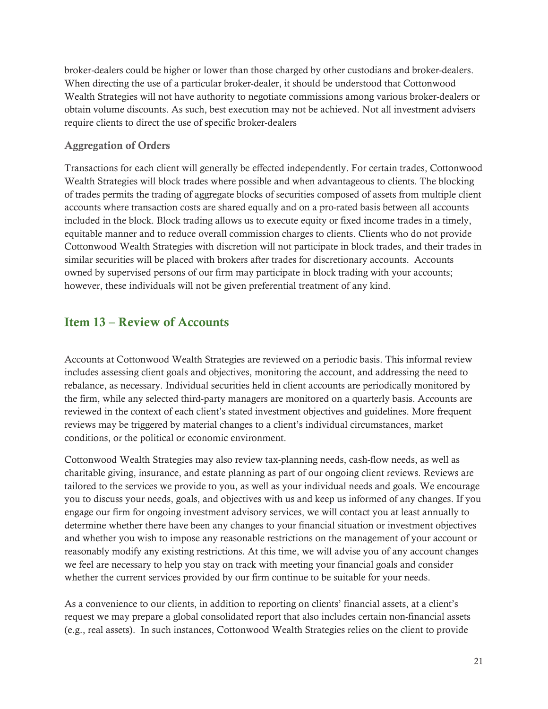broker-dealers could be higher or lower than those charged by other custodians and broker-dealers. When directing the use of a particular broker-dealer, it should be understood that Cottonwood Wealth Strategies will not have authority to negotiate commissions among various broker-dealers or obtain volume discounts. As such, best execution may not be achieved. Not all investment advisers require clients to direct the use of specific broker-dealers

#### Aggregation of Orders

Transactions for each client will generally be effected independently. For certain trades, Cottonwood Wealth Strategies will block trades where possible and when advantageous to clients. The blocking of trades permits the trading of aggregate blocks of securities composed of assets from multiple client accounts where transaction costs are shared equally and on a pro-rated basis between all accounts included in the block. Block trading allows us to execute equity or fixed income trades in a timely, equitable manner and to reduce overall commission charges to clients. Clients who do not provide Cottonwood Wealth Strategies with discretion will not participate in block trades, and their trades in similar securities will be placed with brokers after trades for discretionary accounts. Accounts owned by supervised persons of our firm may participate in block trading with your accounts; however, these individuals will not be given preferential treatment of any kind.

## Item 13 – Review of Accounts

Accounts at Cottonwood Wealth Strategies are reviewed on a periodic basis. This informal review includes assessing client goals and objectives, monitoring the account, and addressing the need to rebalance, as necessary. Individual securities held in client accounts are periodically monitored by the firm, while any selected third-party managers are monitored on a quarterly basis. Accounts are reviewed in the context of each client's stated investment objectives and guidelines. More frequent reviews may be triggered by material changes to a client's individual circumstances, market conditions, or the political or economic environment.

Cottonwood Wealth Strategies may also review tax-planning needs, cash-flow needs, as well as charitable giving, insurance, and estate planning as part of our ongoing client reviews. Reviews are tailored to the services we provide to you, as well as your individual needs and goals. We encourage you to discuss your needs, goals, and objectives with us and keep us informed of any changes. If you engage our firm for ongoing investment advisory services, we will contact you at least annually to determine whether there have been any changes to your financial situation or investment objectives and whether you wish to impose any reasonable restrictions on the management of your account or reasonably modify any existing restrictions. At this time, we will advise you of any account changes we feel are necessary to help you stay on track with meeting your financial goals and consider whether the current services provided by our firm continue to be suitable for your needs.

As a convenience to our clients, in addition to reporting on clients' financial assets, at a client's request we may prepare a global consolidated report that also includes certain non-financial assets (e.g., real assets). In such instances, Cottonwood Wealth Strategies relies on the client to provide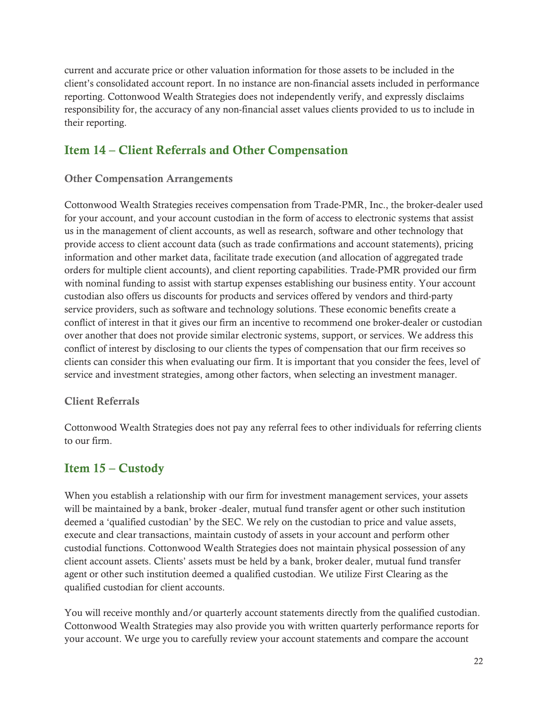current and accurate price or other valuation information for those assets to be included in the client's consolidated account report. In no instance are non-financial assets included in performance reporting. Cottonwood Wealth Strategies does not independently verify, and expressly disclaims responsibility for, the accuracy of any non-financial asset values clients provided to us to include in their reporting.

## Item 14 – Client Referrals and Other Compensation

#### Other Compensation Arrangements

Cottonwood Wealth Strategies receives compensation from Trade-PMR, Inc., the broker-dealer used for your account, and your account custodian in the form of access to electronic systems that assist us in the management of client accounts, as well as research, software and other technology that provide access to client account data (such as trade confirmations and account statements), pricing information and other market data, facilitate trade execution (and allocation of aggregated trade orders for multiple client accounts), and client reporting capabilities. Trade-PMR provided our firm with nominal funding to assist with startup expenses establishing our business entity. Your account custodian also offers us discounts for products and services offered by vendors and third-party service providers, such as software and technology solutions. These economic benefits create a conflict of interest in that it gives our firm an incentive to recommend one broker-dealer or custodian over another that does not provide similar electronic systems, support, or services. We address this conflict of interest by disclosing to our clients the types of compensation that our firm receives so clients can consider this when evaluating our firm. It is important that you consider the fees, level of service and investment strategies, among other factors, when selecting an investment manager.

#### Client Referrals

Cottonwood Wealth Strategies does not pay any referral fees to other individuals for referring clients to our firm.

## Item 15 – Custody

When you establish a relationship with our firm for investment management services, your assets will be maintained by a bank, broker -dealer, mutual fund transfer agent or other such institution deemed a 'qualified custodian' by the SEC. We rely on the custodian to price and value assets, execute and clear transactions, maintain custody of assets in your account and perform other custodial functions. Cottonwood Wealth Strategies does not maintain physical possession of any client account assets. Clients' assets must be held by a bank, broker dealer, mutual fund transfer agent or other such institution deemed a qualified custodian. We utilize First Clearing as the qualified custodian for client accounts.

You will receive monthly and/or quarterly account statements directly from the qualified custodian. Cottonwood Wealth Strategies may also provide you with written quarterly performance reports for your account. We urge you to carefully review your account statements and compare the account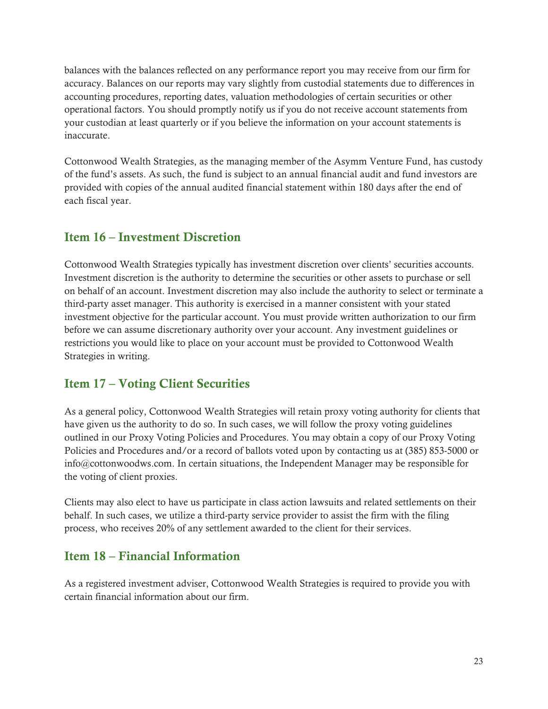balances with the balances reflected on any performance report you may receive from our firm for accuracy. Balances on our reports may vary slightly from custodial statements due to differences in accounting procedures, reporting dates, valuation methodologies of certain securities or other operational factors. You should promptly notify us if you do not receive account statements from your custodian at least quarterly or if you believe the information on your account statements is inaccurate.

Cottonwood Wealth Strategies, as the managing member of the Asymm Venture Fund, has custody of the fund's assets. As such, the fund is subject to an annual financial audit and fund investors are provided with copies of the annual audited financial statement within 180 days after the end of each fiscal year.

## Item 16 – Investment Discretion

Cottonwood Wealth Strategies typically has investment discretion over clients' securities accounts. Investment discretion is the authority to determine the securities or other assets to purchase or sell on behalf of an account. Investment discretion may also include the authority to select or terminate a third-party asset manager. This authority is exercised in a manner consistent with your stated investment objective for the particular account. You must provide written authorization to our firm before we can assume discretionary authority over your account. Any investment guidelines or restrictions you would like to place on your account must be provided to Cottonwood Wealth Strategies in writing.

## Item 17 – Voting Client Securities

As a general policy, Cottonwood Wealth Strategies will retain proxy voting authority for clients that have given us the authority to do so. In such cases, we will follow the proxy voting guidelines outlined in our Proxy Voting Policies and Procedures. You may obtain a copy of our Proxy Voting Policies and Procedures and/or a record of ballots voted upon by contacting us at (385) 853-5000 or info@cottonwoodws.com. In certain situations, the Independent Manager may be responsible for the voting of client proxies.

Clients may also elect to have us participate in class action lawsuits and related settlements on their behalf. In such cases, we utilize a third-party service provider to assist the firm with the filing process, who receives 20% of any settlement awarded to the client for their services.

## Item 18 – Financial Information

As a registered investment adviser, Cottonwood Wealth Strategies is required to provide you with certain financial information about our firm.